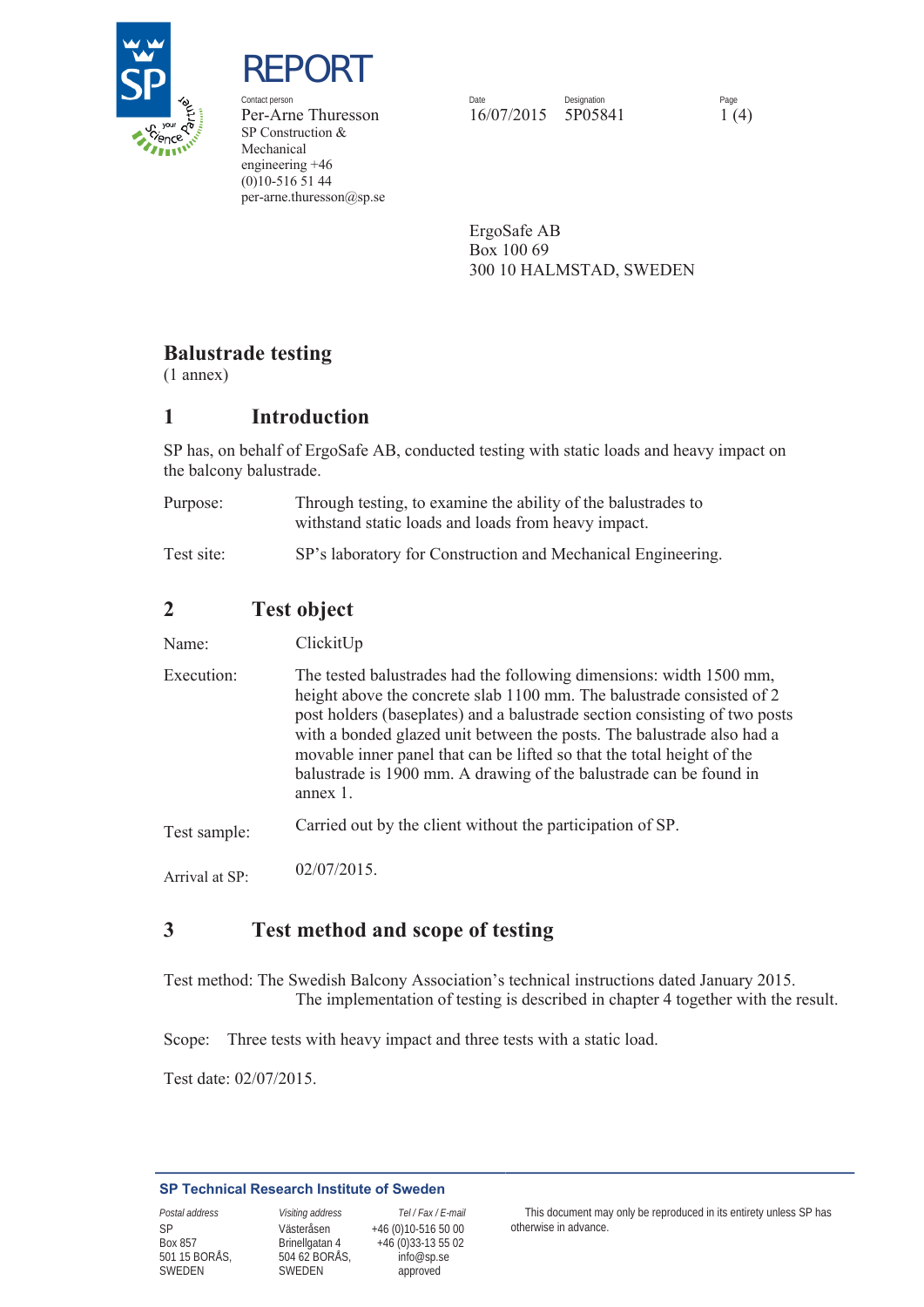

REPORT

SP Construction & Mechanical engineering +46 (0)10-516 51 44 per-arne.thuresson@sp.se

Contact person **Date** Date Date Designation **Designation** Page Per-Arne Thuresson 16/07/2015 5P05841 1 (4)

> ErgoSafe AB Box 100 69 300 10 HALMSTAD, SWEDEN

## **Balustrade testing**

(1 annex)

## **1 Introduction**

SP has, on behalf of ErgoSafe AB, conducted testing with static loads and heavy impact on the balcony balustrade.

| Purpose:   | Through testing, to examine the ability of the balustrades to<br>with static loads and loads from heavy impact. |
|------------|-----------------------------------------------------------------------------------------------------------------|
| Test site: | SP's laboratory for Construction and Mechanical Engineering.                                                    |

# **2 Test object**

Name: ClickitUp

Execution: Test sample: The tested balustrades had the following dimensions: width 1500 mm, height above the concrete slab 1100 mm. The balustrade consisted of 2 post holders (baseplates) and a balustrade section consisting of two posts with a bonded glazed unit between the posts. The balustrade also had a movable inner panel that can be lifted so that the total height of the balustrade is 1900 mm. A drawing of the balustrade can be found in annex 1. Carried out by the client without the participation of SP.

Arrival at SP: 02/07/2015.

# **3 Test method and scope of testing**

Test method: The Swedish Balcony Association's technical instructions dated January 2015. The implementation of testing is described in chapter 4 together with the result.

Scope: Three tests with heavy impact and three tests with a static load.

Test date: 02/07/2015.

#### **SP Technical Research Institute of Sweden**

SP Box 857 501 15 BORÅS, SWEDEN

Västeråsen Brinellgatan 4 504 62 BORÅS, SWEDEN

 +46 (0)10-516 50 00 +46 (0)33-13 55 02 info@sp.se approved

*Postal address Visiting address Tel / Fax / E-mail* This document may only be reproduced in its entirety unless SP has otherwise in advance.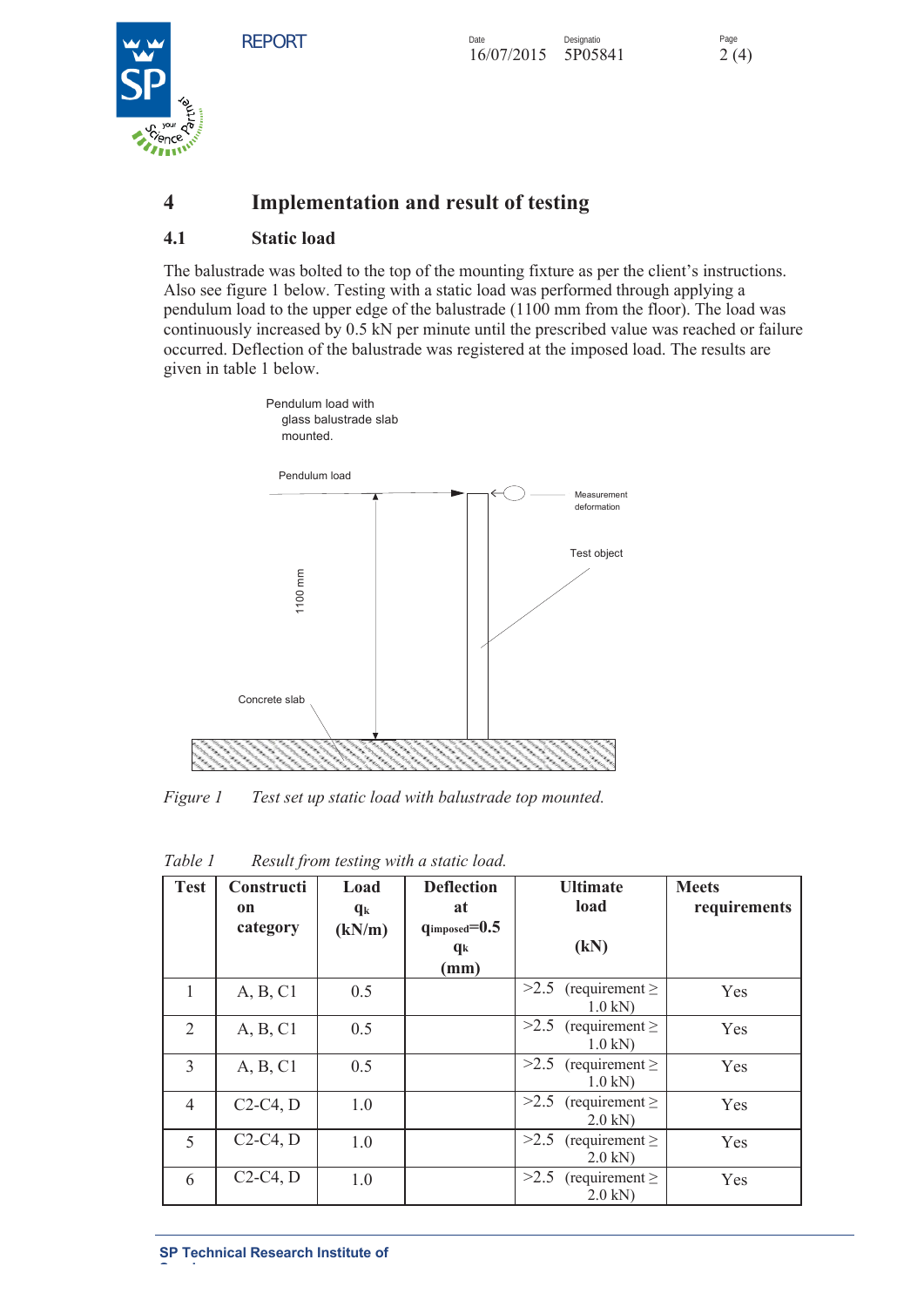Page



# **4 Implementation and result of testing**

### **4.1 Static load**

The balustrade was bolted to the top of the mounting fixture as per the client's instructions. Also see figure 1 below. Testing with a static load was performed through applying a pendulum load to the upper edge of the balustrade (1100 mm from the floor). The load was continuously increased by 0.5 kN per minute until the prescribed value was reached or failure occurred. Deflection of the balustrade was registered at the imposed load. The results are given in table 1 below.



*Figure 1 Test set up static load with balustrade top mounted.*

| <b>Test</b>    | Constructi<br>on | Load<br>$q_k$ | <b>Deflection</b><br>at | <b>Ultimate</b><br>load                       | <b>Meets</b><br>requirements |
|----------------|------------------|---------------|-------------------------|-----------------------------------------------|------------------------------|
|                | category         | (kN/m)        | $q_{imposed}=0.5$<br>qk | (kN)                                          |                              |
|                |                  |               | (mm)                    |                                               |                              |
| 1              | A, B, C1         | 0.5           |                         | >2.5 (requirement $\geq$<br>$1.0$ kN)         | Yes                          |
| $\overline{2}$ | A, B, C1         | 0.5           |                         | >2.5 (requirement $\geq$<br>$1.0$ kN)         | Yes                          |
| 3              | A, B, C1         | 0.5           |                         | $>2.5$ (requirement $\ge$<br>$1.0$ kN)        | Yes                          |
| $\overline{4}$ | $C2-C4, D$       | 1.0           |                         | >2.5 (requirement $\geq$<br>$2.0 \text{ kN}$  | <b>Yes</b>                   |
| 5              | $C2-C4, D$       | 1.0           |                         | $>2.5$ (requirement $\ge$<br>$2.0 \text{ kN}$ | Yes                          |
| 6              | $C2-C4, D$       | 1.0           |                         | >2.5<br>(requirement $\geq$<br>$2.0$ kN)      | Yes                          |

*Table 1 Result from testing with a static load.*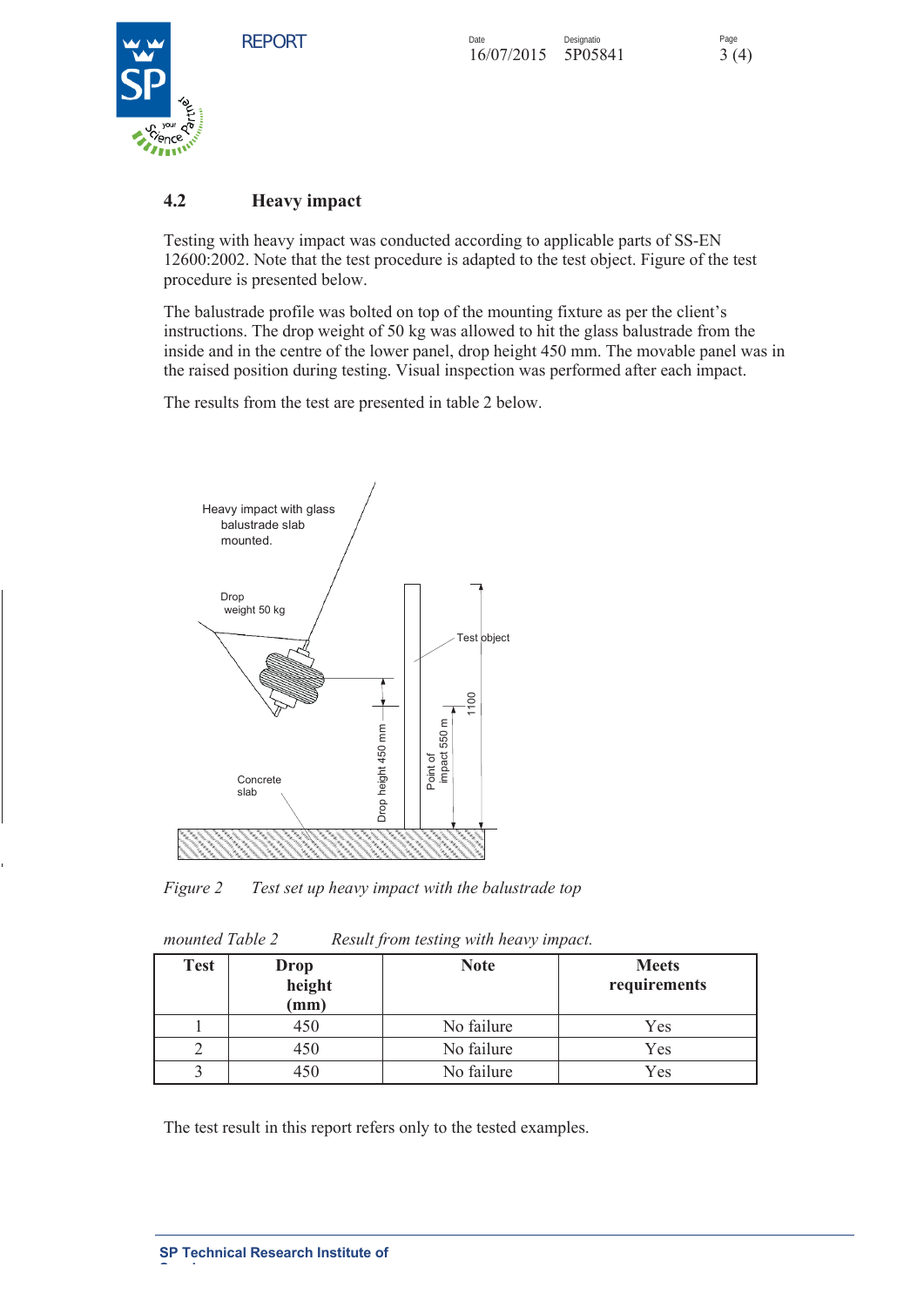Page



### **4.2 Heavy impact**

Testing with heavy impact was conducted according to applicable parts of SS-EN 12600:2002. Note that the test procedure is adapted to the test object. Figure of the test procedure is presented below.

The balustrade profile was bolted on top of the mounting fixture as per the client's instructions. The drop weight of 50 kg was allowed to hit the glass balustrade from the inside and in the centre of the lower panel, drop height 450 mm. The movable panel was in the raised position during testing. Visual inspection was performed after each impact.

The results from the test are presented in table 2 below.



*Figure 2 Test set up heavy impact with the balustrade top* 

| mounted Table 2 | Result from testing with heavy impact. |
|-----------------|----------------------------------------|
|-----------------|----------------------------------------|

| <b>Test</b> | Drop<br>height<br>$(\mathbf{mm})$ | <b>Note</b> | <b>Meets</b><br>requirements |
|-------------|-----------------------------------|-------------|------------------------------|
|             | 450                               | No failure  | Yes                          |
|             | 450                               | No failure  | Yes                          |
|             | 450                               | No failure  | Yes                          |

The test result in this report refers only to the tested examples.

**Sweden**